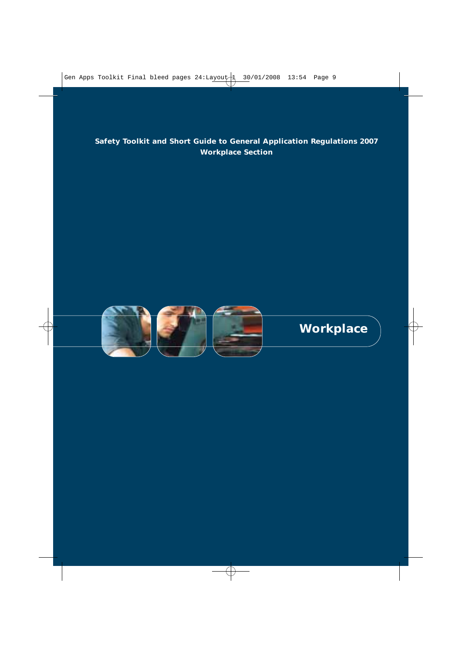#### **Safety Toolkit and Short Guide to General Application Regulations 2007 Workplace Section**

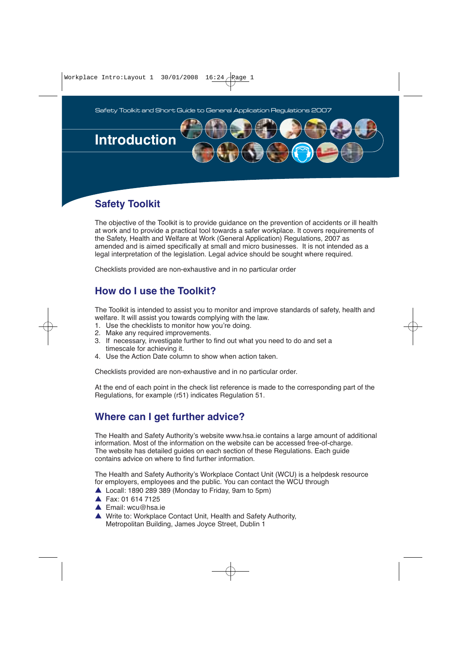Safety Toolkit and Short Guide to General Application Regulations 2007



## **Safety Toolkit**

The objective of the Toolkit is to provide guidance on the prevention of accidents or ill health at work and to provide a practical tool towards a safer workplace. It covers requirements of the Safety, Health and Welfare at Work (General Application) Regulations, 2007 as amended and is aimed specifically at small and micro businesses. It is not intended as a legal interpretation of the legislation. Legal advice should be sought where required.

Checklists provided are non-exhaustive and in no particular order

### **How do I use the Toolkit?**

The Toolkit is intended to assist you to monitor and improve standards of safety, health and welfare. It will assist you towards complying with the law.

- 1. Use the checklists to monitor how you're doing.
- 2. Make any required improvements.
- 3. If necessary, investigate further to find out what you need to do and set a timescale for achieving it.
- 4. Use the Action Date column to show when action taken.

Checklists provided are non-exhaustive and in no particular order.

At the end of each point in the check list reference is made to the corresponding part of the Regulations, for example (r51) indicates Regulation 51.

#### **Where can I get further advice?**

The Health and Safety Authority's website www.hsa.ie contains a large amount of additional information. Most of the information on the website can be accessed free-of-charge. The website has detailed guides on each section of these Regulations. Each guide contains advice on where to find further information.

The Health and Safety Authority's Workplace Contact Unit (WCU) is a helpdesk resource for employers, employees and the public. You can contact the WCU through

- $\triangle$  Locall: 1890 289 389 (Monday to Friday, 9am to 5pm)
- ▲ Fax: 01 614 7125
- ▲ Email: wcu@hsa.ie
- ▲ Write to: Workplace Contact Unit, Health and Safety Authority, Metropolitan Building, James Joyce Street, Dublin 1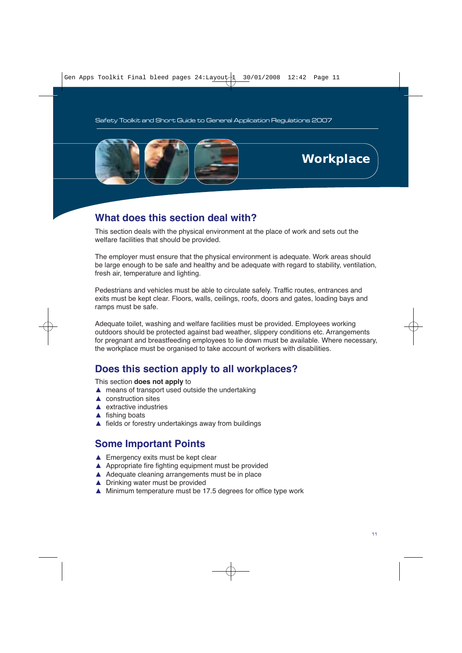

#### **What does this section deal with?**

This section deals with the physical environment at the place of work and sets out the welfare facilities that should be provided.

The employer must ensure that the physical environment is adequate. Work areas should be large enough to be safe and healthy and be adequate with regard to stability, ventilation, fresh air, temperature and lighting.

Pedestrians and vehicles must be able to circulate safely. Traffic routes, entrances and exits must be kept clear. Floors, walls, ceilings, roofs, doors and gates, loading bays and ramps must be safe.

Adequate toilet, washing and welfare facilities must be provided. Employees working outdoors should be protected against bad weather, slippery conditions etc. Arrangements for pregnant and breastfeeding employees to lie down must be available. Where necessary, the workplace must be organised to take account of workers with disabilities.

#### **Does this section apply to all workplaces?**

This section **does not apply** to

- ▲ means of transport used outside the undertaking
- ▲ construction sites
- ▲ extractive industries
- $\triangle$  fishing boats
- ▲ fields or forestry undertakings away from buildings

#### **Some Important Points**

- $\triangle$  Emergency exits must be kept clear
- ▲ Appropriate fire fighting equipment must be provided
- ▲ Adequate cleaning arrangements must be in place
- ▲ Drinking water must be provided
- ▲ Minimum temperature must be 17.5 degrees for office type work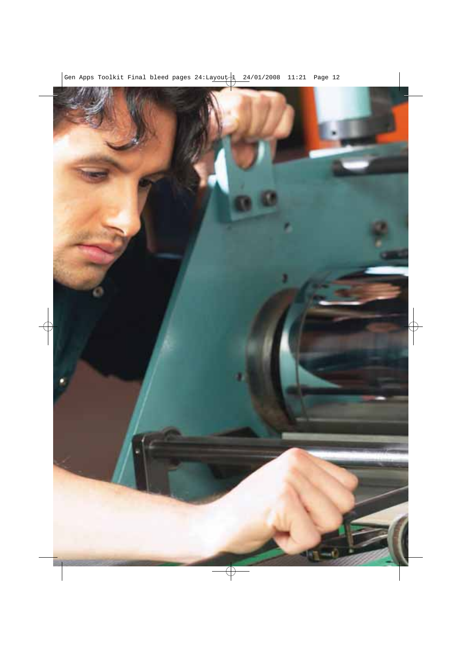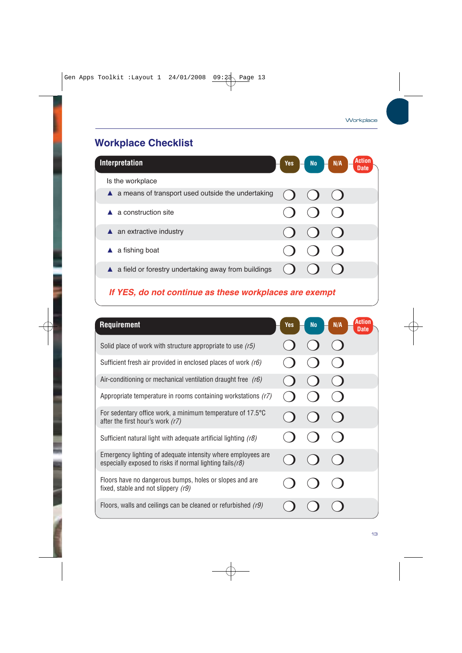# **Workplace Checklist**

| <b>Interpretation</b>                                              | <b>Yes</b> | <b>No</b> | N/A | Action<br>Date |
|--------------------------------------------------------------------|------------|-----------|-----|----------------|
| Is the workplace                                                   |            |           |     |                |
| $\blacktriangle$ a means of transport used outside the undertaking |            |           |     |                |
| a construction site                                                |            |           |     |                |
| $\blacktriangle$ an extractive industry                            |            |           |     |                |
| $\triangle$ a fishing boat                                         |            |           |     |                |
| ▲ a field or forestry undertaking away from buildings              |            |           |     |                |
| <u>If VEC do not continuo ao thogo warkplaces are avemnt</u>       |            |           |     |                |

## **If YES, do not continue as these workplaces are exempt**

| <b>Requirement</b>                                                                                                          | Yes | <b>No</b> | N/A | <b>Action</b><br><b>Date</b> |
|-----------------------------------------------------------------------------------------------------------------------------|-----|-----------|-----|------------------------------|
| Solid place of work with structure appropriate to use (r5)                                                                  |     |           |     |                              |
| Sufficient fresh air provided in enclosed places of work (r6)                                                               |     |           |     |                              |
| Air-conditioning or mechanical ventilation draught free $(r6)$                                                              |     |           |     |                              |
| Appropriate temperature in rooms containing workstations (r7)                                                               |     |           |     |                              |
| For sedentary office work, a minimum temperature of 17.5°C<br>after the first hour's work (r7)                              |     |           |     |                              |
| Sufficient natural light with adequate artificial lighting (r8)                                                             |     |           |     |                              |
| Emergency lighting of adequate intensity where employees are<br>especially exposed to risks if normal lighting fails $(r8)$ |     |           |     |                              |
| Floors have no dangerous bumps, holes or slopes and are<br>fixed, stable and not slippery (r9)                              |     |           |     |                              |
| Floors, walls and ceilings can be cleaned or refurbished (r9)                                                               |     |           |     |                              |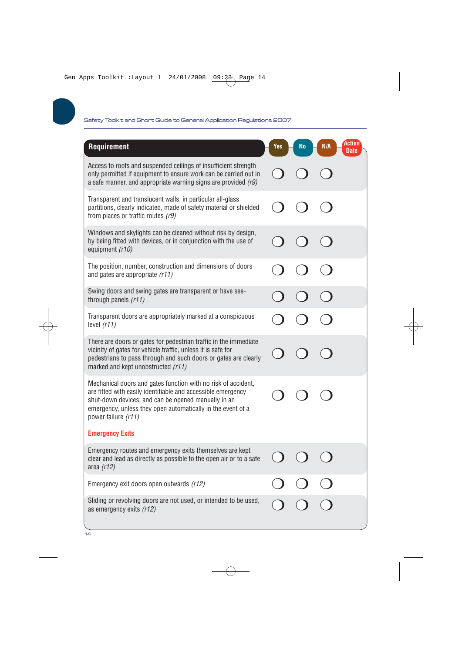| <b>Requirement</b>                                                                                                                                                                                                                                                         | Yes | N <sub>0</sub> | Action<br>N/A |
|----------------------------------------------------------------------------------------------------------------------------------------------------------------------------------------------------------------------------------------------------------------------------|-----|----------------|---------------|
| Access to roofs and suspended ceilings of insufficient strength<br>only permitted if equipment to ensure work can be carried out in<br>a safe manner, and appropriate warning signs are provided $(r9)$                                                                    |     |                |               |
| Transparent and translucent walls, in particular all-glass<br>partitions, clearly indicated, made of safety material or shielded<br>from places or traffic routes (r9)                                                                                                     |     |                |               |
| Windows and skylights can be cleaned without risk by design,<br>by being fitted with devices, or in conjunction with the use of<br>equipment (r10)                                                                                                                         |     |                |               |
| The position, number, construction and dimensions of doors<br>and gates are appropriate (r11)                                                                                                                                                                              |     |                |               |
| Swing doors and swing gates are transparent or have see-<br>through panels (r11)                                                                                                                                                                                           |     |                |               |
| Transparent doors are appropriately marked at a conspicuous<br>level $(r11)$                                                                                                                                                                                               |     |                |               |
| There are doors or gates for pedestrian traffic in the immediate<br>vicinity of gates for vehicle traffic, unless it is safe for<br>pedestrians to pass through and such doors or gates are clearly<br>marked and kept unobstructed (r11)                                  |     |                |               |
| Mechanical doors and gates function with no risk of accident,<br>are fitted with easily identifiable and accessible emergency<br>shut-down devices, and can be opened manually in an<br>emergency, unless they open automatically in the event of a<br>power failure (r11) |     |                |               |
| <b>Emergency Exits</b>                                                                                                                                                                                                                                                     |     |                |               |
| Emergency routes and emergency exits themselves are kept<br>clear and lead as directly as possible to the open air or to a safe<br>area $(r12)$                                                                                                                            |     |                |               |
| Emergency exit doors open outwards (r12)                                                                                                                                                                                                                                   |     |                |               |
| Sliding or revolving doors are not used, or intended to be used,<br>as emergency exits (r12)                                                                                                                                                                               |     |                |               |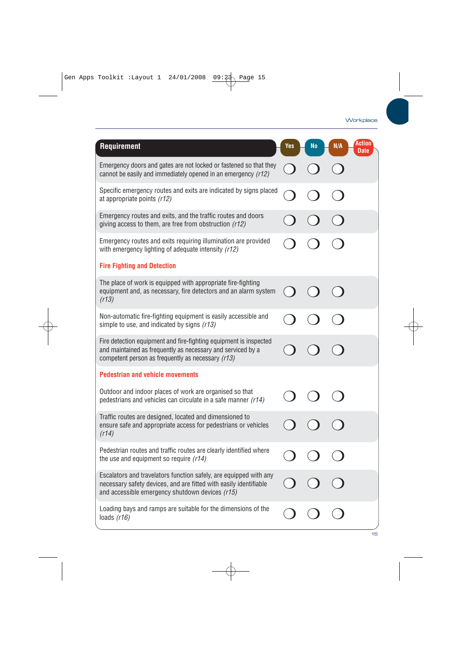| <b>Requirement</b>                                                                                                                                                                        | Yes | <b>No</b> | N/A | Action<br>Date |
|-------------------------------------------------------------------------------------------------------------------------------------------------------------------------------------------|-----|-----------|-----|----------------|
| Emergency doors and gates are not locked or fastened so that they<br>cannot be easily and immediately opened in an emergency (r12)                                                        |     |           |     |                |
| Specific emergency routes and exits are indicated by signs placed<br>at appropriate points (r12)                                                                                          |     |           |     |                |
| Emergency routes and exits, and the traffic routes and doors<br>giving access to them, are free from obstruction (r12)                                                                    |     |           |     |                |
| Emergency routes and exits requiring illumination are provided<br>with emergency lighting of adequate intensity (r12)                                                                     |     |           |     |                |
| <b>Fire Fighting and Detection</b>                                                                                                                                                        |     |           |     |                |
| The place of work is equipped with appropriate fire-fighting<br>equipment and, as necessary, fire detectors and an alarm system<br>(r13)                                                  |     |           |     |                |
| Non-automatic fire-fighting equipment is easily accessible and<br>simple to use, and indicated by signs $(13)$                                                                            |     |           |     |                |
| Fire detection equipment and fire-fighting equipment is inspected<br>and maintained as frequently as necessary and serviced by a<br>competent person as frequently as necessary (r13)     |     |           |     |                |
| <b>Pedestrian and vehicle movements</b>                                                                                                                                                   |     |           |     |                |
| Outdoor and indoor places of work are organised so that<br>pedestrians and vehicles can circulate in a safe manner (r14)                                                                  |     |           |     |                |
| Traffic routes are designed, located and dimensioned to<br>ensure safe and appropriate access for pedestrians or vehicles<br>(r14)                                                        |     |           |     |                |
| Pedestrian routes and traffic routes are clearly identified where<br>the use and equipment so require $(14)$                                                                              |     |           |     |                |
| Escalators and travelators function safely, are equipped with any<br>necessary safety devices, and are fitted with easily identifiable<br>and accessible emergency shutdown devices (r15) |     |           |     |                |
| Loading bays and ramps are suitable for the dimensions of the<br>loads $(r16)$                                                                                                            |     |           |     |                |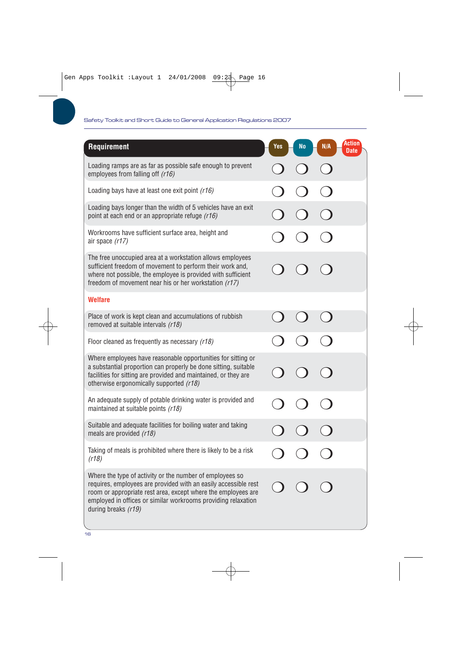| Requirement                                                                                                                                                                                                                                                                          | Yes | N <sub>0</sub> | N/A | Action<br>Date |
|--------------------------------------------------------------------------------------------------------------------------------------------------------------------------------------------------------------------------------------------------------------------------------------|-----|----------------|-----|----------------|
| Loading ramps are as far as possible safe enough to prevent<br>employees from falling off (r16)                                                                                                                                                                                      |     |                |     |                |
| Loading bays have at least one exit point (r16)                                                                                                                                                                                                                                      |     |                |     |                |
| Loading bays longer than the width of 5 vehicles have an exit<br>point at each end or an appropriate refuge (r16)                                                                                                                                                                    |     |                |     |                |
| Workrooms have sufficient surface area, height and<br>air space $(r17)$                                                                                                                                                                                                              |     |                |     |                |
| The free unoccupied area at a workstation allows employees<br>sufficient freedom of movement to perform their work and,<br>where not possible, the employee is provided with sufficient<br>freedom of movement near his or her workstation (r17)                                     |     |                |     |                |
| <b>Welfare</b>                                                                                                                                                                                                                                                                       |     |                |     |                |
| Place of work is kept clean and accumulations of rubbish<br>removed at suitable intervals (r18)                                                                                                                                                                                      |     |                |     |                |
| Floor cleaned as frequently as necessary (r18)                                                                                                                                                                                                                                       |     |                |     |                |
| Where employees have reasonable opportunities for sitting or<br>a substantial proportion can properly be done sitting, suitable<br>facilities for sitting are provided and maintained, or they are<br>otherwise ergonomically supported (r18)                                        |     |                |     |                |
| An adequate supply of potable drinking water is provided and<br>maintained at suitable points (r18)                                                                                                                                                                                  |     |                |     |                |
| Suitable and adequate facilities for boiling water and taking<br>meals are provided (r18)                                                                                                                                                                                            |     |                |     |                |
| Taking of meals is prohibited where there is likely to be a risk<br>(r18)                                                                                                                                                                                                            |     |                |     |                |
| Where the type of activity or the number of employees so<br>requires, employees are provided with an easily accessible rest<br>room or appropriate rest area, except where the employees are<br>employed in offices or similar workrooms providing relaxation<br>during breaks (r19) |     |                |     |                |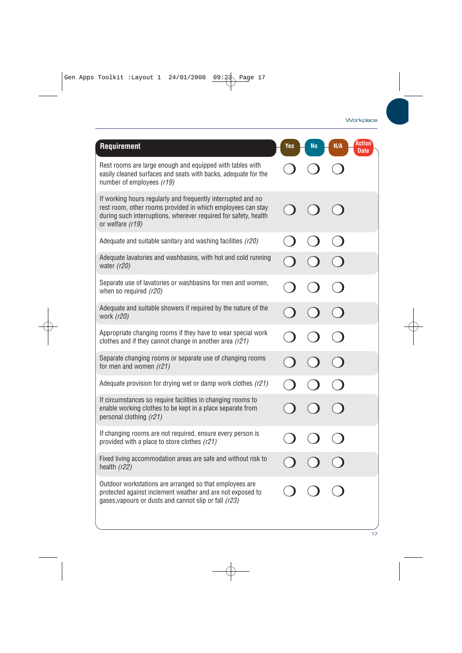| Requirement                                                                                                                                                                                                        | Yes | No | N/A | Action<br>Date |
|--------------------------------------------------------------------------------------------------------------------------------------------------------------------------------------------------------------------|-----|----|-----|----------------|
| Rest rooms are large enough and equipped with tables with<br>easily cleaned surfaces and seats with backs, adequate for the<br>number of employees (r19)                                                           |     |    |     |                |
| If working hours regularly and frequently interrupted and no<br>rest room, other rooms provided in which employees can stay<br>during such interruptions, wherever required for safety, health<br>or welfare (r19) |     |    |     |                |
| Adequate and suitable sanitary and washing facilities (r20)                                                                                                                                                        |     |    |     |                |
| Adequate lavatories and washbasins, with hot and cold running<br>water $(r20)$                                                                                                                                     |     |    |     |                |
| Separate use of lavatories or washbasins for men and women,<br>when so required (r20)                                                                                                                              |     |    |     |                |
| Adequate and suitable showers if required by the nature of the<br>work (r20)                                                                                                                                       |     |    |     |                |
| Appropriate changing rooms if they have to wear special work<br>clothes and if they cannot change in another area $(r21)$                                                                                          |     |    |     |                |
| Separate changing rooms or separate use of changing rooms<br>for men and women $(r21)$                                                                                                                             |     |    |     |                |
| Adequate provision for drying wet or damp work clothes (r21)                                                                                                                                                       |     |    |     |                |
| If circumstances so require facilities in changing rooms to<br>enable working clothes to be kept in a place separate from<br>personal clothing (r21)                                                               |     |    |     |                |
| If changing rooms are not required, ensure every person is<br>provided with a place to store clothes (r21)                                                                                                         |     |    |     |                |
| Fixed living accommodation areas are safe and without risk to<br>health (r22)                                                                                                                                      |     |    |     |                |
| Outdoor workstations are arranged so that employees are<br>protected against inclement weather and are not exposed to<br>gases, vapours or dusts and cannot slip or fall (r23)                                     |     |    |     |                |